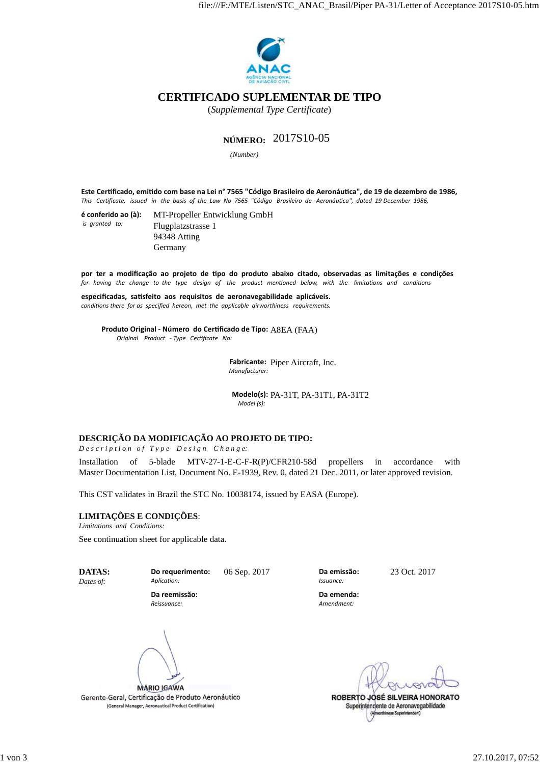

# **CERTIFICADO SUPLEMENTAR DE TIPO**

(*Supplemental Type Certificate*)

# **NÚMERO:** 2017S10-05

*(Number)* 

**Este Cerficado, emido com base na Lei n° 7565 "Código Brasileiro de Aeronáuca", de 19 de dezembro de 1986,** This Certificate, issued in the basis of the Law No 7565 "Código Brasileiro de Aeronáutica", dated 19 December 1986,

| é conferido ao (à): | MT-Propeller Entwicklung GmbH |
|---------------------|-------------------------------|
| is granted to:      | Flugplatzstrasse 1            |
|                     | 94348 Atting                  |
|                     | Germany                       |

por ter a modificação ao projeto de tipo do produto abaixo citado, observadas as limitações e condições for having the change to the type design of the product mentioned below, with the limitations and conditions

especificadas, satisfeito aos requisitos de aeronavegabilidade aplicáveis. *conditions there for as specified hereon, met the applicable airworthiness requirements.* 

**Produto Original - Número do Cerficado de Tipo:** A8EA (FAA)  *Original Product - Type Cerficate No:*

> **Fabricante:**  Piper Aircraft, Inc. *Manufacturer:*

**Modelo(s):** PA-31T, PA-31T1, PA-31T2 *Model (s):* 

## **DESCRIÇÃO DA MODIFICAÇÃO AO PROJETO DE TIPO:**

*D e s c r i p t i o n o f T y p e D e s i g n C h a n g e:*

Installation of 5-blade MTV-27-1-E-C-F-R(P)/CFR210-58d propellers in accordance with Master Documentation List, Document No. E-1939, Rev. 0, dated 21 Dec. 2011, or later approved revision.

This CST validates in Brazil the STC No. 10038174, issued by EASA (Europe).

## **LIMITAÇÕES E CONDIÇÕES**:

*Limitations and Conditions:*

See continuation sheet for applicable data.

**DATAS:** *Dates of:*

**Do requerimento:** Aplication:

06 Sep. 2017 **Da emissão:**

23 Oct. 2017

*Amendment:*

*Issuance:*

**Da emenda:**

ROBERTO JOSÉ SILVEIRA HONORATO Superintendente de Aeronavegabilidade (Ameritiness Superintendent)

**Da reemissão:** *Reissuance:*

**MARIO IGAWA** 

Gerente-Geral, Certificação de Produto Aeronáutico (General Manager, Aeronautical Product Certification)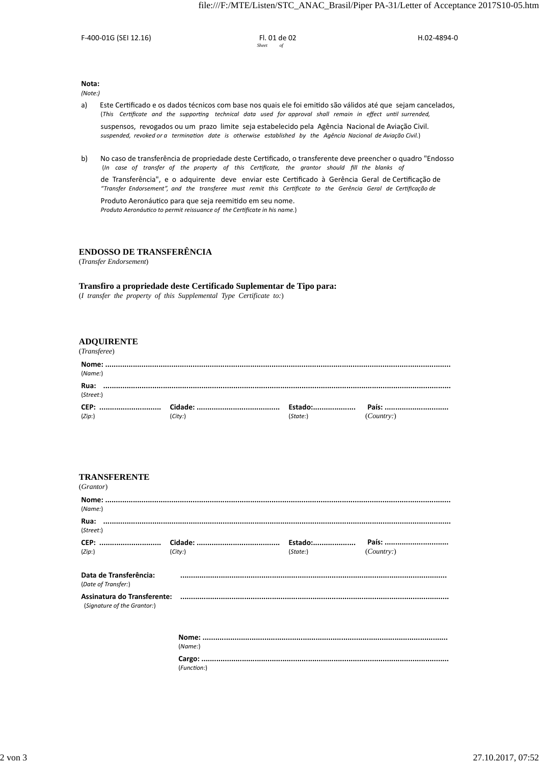F-400-01G (SEI 12.16) Fl. 01 de 02

H.02-4894-0

**Nota:**

*(Note:)*

- a) Este Certificado e os dados técnicos com base nos quais ele foi emitido são válidos até que sejam cancelados, (This Certificate and the supporting technical data used for approval shall remain in effect until surrended, suspensos, revogados ou um prazo limite seja estabelecido pela Agência Nacional de Aviação Civil. suspended, revoked or a termination date is otherwise established by the Agência Nacional de Aviação Civil.)
- b) No caso de transferência de propriedade deste Cerficado, o transferente deve preencher o quadro "Endosso (*In case of transfer of the property of this Cerficate, the grantor should fill the blanks of*  de Transferência", e o adquirente deve enviar este Cerficado à Gerência Geral de Cerficação de *"Transfer Endorsement", and the transferee must remit this Cerficate to the Gerência Geral de Cerficação de*

Produto Aeronáutico para que seja reemitido em seu nome. *Produto Aeronáutico to permit reissuance of the Certificate in his name.*)

#### **ENDOSSO DE TRANSFERÊNCIA**

(*Transfer Endorsement*)

#### **Transfiro a propriedade deste Certificado Suplementar de Tipo para:**

(*I transfer the property of this Supplemental Type Certificate to:*)

### **ADQUIRENTE**

#### (*Transferee*)

| (Name)            |         |          |           |
|-------------------|---------|----------|-----------|
| Rua:<br>(Street:) |         |          |           |
| (Zip)             | (City:) | (State:) | (Country) |

#### **TRANSFERENTE**

| (Grantor)                                     |                             |          |           |
|-----------------------------------------------|-----------------------------|----------|-----------|
| (Name:)                                       |                             |          |           |
| (Street:)                                     |                             |          |           |
|                                               |                             |          |           |
| (Zip: )                                       | (City.)                     | (State.) | (Country) |
| Data de Transferência:<br>(Date of Transfer:) | $\mathcal{L} = \mathcal{L}$ |          |           |
| (Signature of the Grantor:)                   |                             |          |           |
|                                               | (Name)                      |          |           |
|                                               | (Function:)                 |          |           |